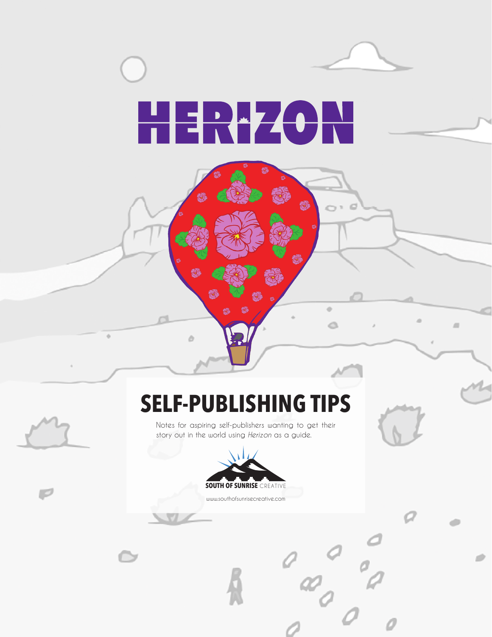

**ah** 

 $\subset$  $\sim$ 

 $\ddot{\circ}$ 

 $\frac{1}{\omega}$ 

Ö

 $\sqrt{2}$ 

# **SELF-PUBLISHING TIPS**

6

翻

Ò

ò

Notes for aspiring self-publishers wanting to get their story out in the world using *Herizon* as a guide.



www.southofsunrisecreative.com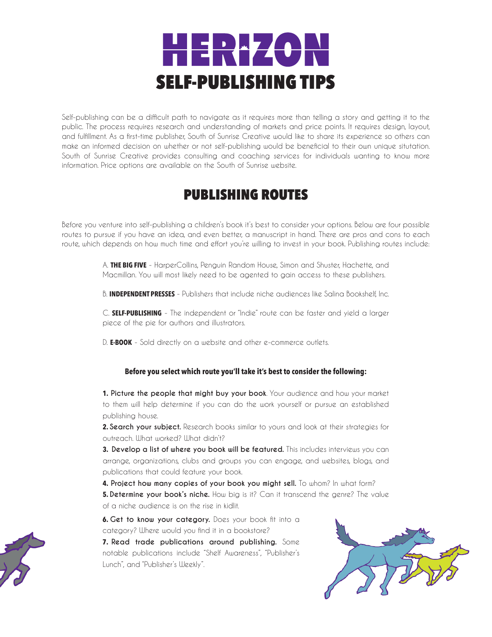

Self-publishing can be a difficult path to navigate as it requires more than telling a story and getting it to the public. The process requires research and understanding of markets and price points. It requires design, layout, and fulfillment. As a first-time publisher, South of Sunrise Creative would like to share its experience so others can make an informed decision on whether or not self-publishing would be beneficial to their own unique situtation. South of Sunrise Creative provides consulting and coaching services for individuals wanting to know more information. Price options are available on the South of Sunrise website.

## PUBLISHING ROUTES

Before you venture into self-publishing a children's book it's best to consider your options. Below are four possible routes to pursue if you have an idea, and even better, a manuscript in hand. There are pros and cons to each route, which depends on how much time and effort you're willing to invest in your book. Publishing routes include:

> A. **THE BIG FIVE** - HarperCollins, Penguin Random House, Simon and Shuster, Hachette, and Macmillan. You will most likely need to be agented to gain access to these publishers.

> B. **INDEPENDENT PRESSES** - Publishers that include niche audiences like Salina Bookshelf, Inc.

C. **SELF-PUBLISHING** - The independent or "Indie" route can be faster and yield a larger piece of the pie for authors and illustrators.

D. **E-BOOK** - Sold directly on a website and other e-commerce outlets.

#### **Before you select which route you'll take it's best to consider the following:**

**1. Picture the people that might buy your book**. Your audience and how your market to them will help determine if you can do the work yourself or pursue an established publishing house.

**2. Search your subject.** Research books similar to yours and look at their strategies for outreach. What worked? What didn't?

**3. Develop a list of where you book will be featured.** This includes interviews you can arrange, organizations, clubs and groups you can engage, and websites, blogs, and publications that could feature your book.

**4. Project how many copies of your book you might sell.** To whom? In what form? **5. Determine your book's niche.** How big is it? Can it transcend the genre? The value of a niche audience is on the rise in kidlit.

**6. Get to know your category.** Does your book fit into a category? Where would you find it in a bookstore?

**7. Read trade publications around publishing.** Some notable publications include "Shelf Awareness", "Publisher 's Lunch", and "Publisher 's Weekly".



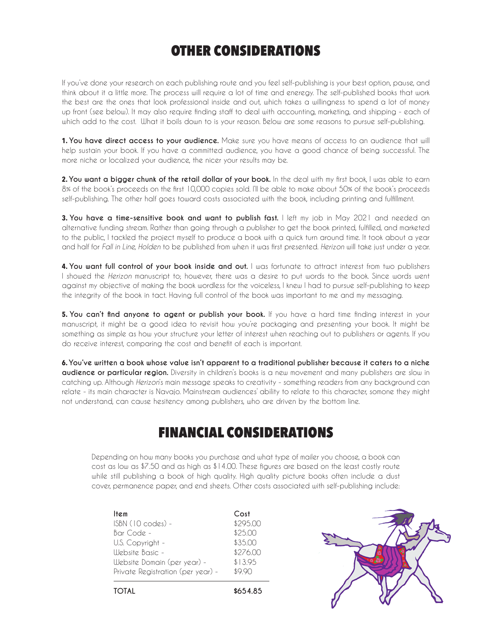## OTHER CONSIDERATIONS

If you've done your research on each publishing route and you feel self-publishing is your best option, pause, and think about it a little more. The process will require a lot of time and eneregy. The self-published books that work the best are the ones that look professional inside and out, which takes a willingness to spend a lot of money up front (see below). It may also require finding staff to deal with accounting, marketing, and shipping - each of which add to the cost. What it boils down to is your reason. Below are some reasons to pursue self-publishing.

**1. You have direct access to your audience.** Make sure you have means of access to an audience that will help sustain your book. If you have a committed audience, you have a good chance of being successful. The more niche or localized your audience, the nicer your results may be.

**2. You want a bigger chunk of the retail dollar of your book.** In the deal with my first book, I was able to earn 8% of the book's proceeds on the first 10,000 copies sold. I'll be able to make about 50% of the book's proceeds self-publishing. The other half goes toward costs associated with the book, including printing and fulfillment.

**3. You have a time-sensitive book and want to publish fast.** I left my job in May 2021 and needed an alternative funding stream. Rather than going through a publisher to get the book printed, fulfilled, and marketed to the public, I tackled the project myself to produce a book with a quick turn around time. It took about a year and half for *Fall in Line, Holden* to be published from when it was first presented. *Herizon* will take just under a year.

**4. You want full control of your book inside and out.** I was fortunate to attract interest from two publishers I showed the *Herizon* manuscript to; however, there was a desire to put words to the book. Since words went against my objective of making the book wordless for the voiceless, I knew I had to pursue self-publishing to keep the integrity of the book in tact. Having full control of the book was important to me and my messaging.

**5. You can't find anyone to agent or publish your book.** If you have a hard time finding interest in your manuscript, it might be a good idea to revisit how you're packaging and presenting your book. It might be something as simple as how your structure your letter of interest when reaching out to publishers or agents. If you do receive interest, comparing the cost and benefit of each is important.

**6. You've written a book whose value isn't apparent to a traditional publisher because it caters to a niche audience or particular region.** Diversity in children's books is a new movement and many publishers are slow in catching up. Although *Herizon*'s main message speaks to creativity - something readers from any background can relate - its main character is Navajo. Mainstream audiences' ability to relate to this character, somone they might not understand, can cause hesitency among publishers, who are driven by the bottom line.

#### FINANCIAL CONSIDERATIONS

Depending on how many books you purchase and what type of mailer you choose, a book can cost as low as \$7.50 and as high as \$14.00. These figures are based on the least costly route while still publishing a book of high quality. High quality picture books often include a dust cover, permanence paper, and end sheets. Other costs associated with self-publishing include:

| ltem                              | Cost     |
|-----------------------------------|----------|
| ISBN (10 codes) -                 | \$295.00 |
| Bar Code -                        | \$2500   |
| U.S. Copyright -                  | \$35.00  |
| Website Basic -                   | \$276.00 |
| Website Domain (per year) -       | \$13.95  |
| Private Registration (per year) - | \$9.90   |
|                                   |          |

**TOTAL**

**\$654.85**